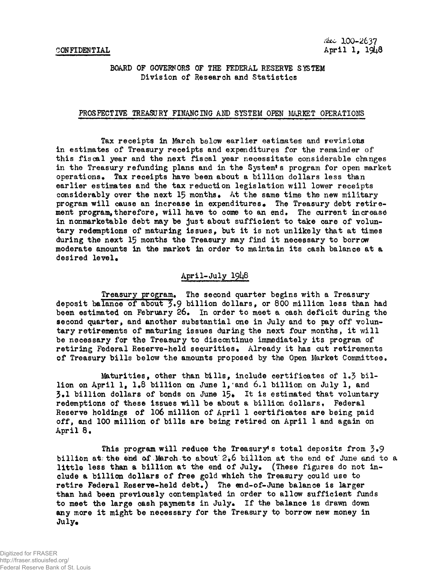## BOARD OF GOVERNORS OF THE FEDERAL RESERVE SYSTEM Division of Research and Statistics

#### PROSPECTIVE TREASURY FINANCING AND SYSTEM OPEN MARKET OPERATIONS

Tax receipts in March below earlier estimates and revisions in estimates of Treasury receipts and expenditures for the remainder of this fiscal year and the next fiscal year necessitate considerable changes in the Treasury refunding plans and in the System's program for open market operations. Tax receipts have been about a billion dollars less than earlier estimates and the tax reduction legislation will lower receipts considerably over the next 15 months. At the same time the new military program will cause an increase in expenditures. The Treasury debt retirement program, therefore, will have to come to an end. The current increase in nonmarketable debt may be just about sufficient to take care of voluntary redemptions of maturing issues, but it is not unlikely that at times during the next 15 months the Treasury may find it necessary to borrow moderate amounts in the market in order to maintain its cash balance at a desired level.

## April-July I9I4B

Treasury program. The second quarter begins with a Treasury deposit balance of about 3.9 billion dollars, or 800 million less than had been estimated on February 26. In order to meet a cash deficit during the second quarter, and another substantial one in July and to pay off voluntary retirements of maturing issues during the next four months, it will be necessary for the Treasury to discontinue immediately its program of retiring Federal Reserve-held securities. Already it has cut retirements of Treasury bills below the amounts proposed by the Open Market Committee.

Maturities, other than bills, include certificates of  $1.3$  billion on April 1, 1.8 billion on June 1, and 6.1 billion on July 1, and  $3.1$  billion dollars of bonds on June  $15$ . It is estimated that voluntary redemptions of these issues will be about a billion dollars. Federal Reserve holdings of 106 million of April 1 certificates are being paid off, and 100 million of bills are being retired on April 1 and again on April 8.

This program will reduce the Treasury's total deposits from  $3.9$ billion at; the end of March to about  $2*6$  billion at the end of June and to a little less than a billion at the end of July. (These figures do not include a billion dollars of free gold which the Treasury could use to retire Federal Reserve-held debt.) The end-of-June balance is larger than had been previously contemplated in order to allow sufficient funds to meet the large cash payments in July. If the balance is drawn down any more it might be necessary for the Treasury to borrow new money in  $July_{\bullet}$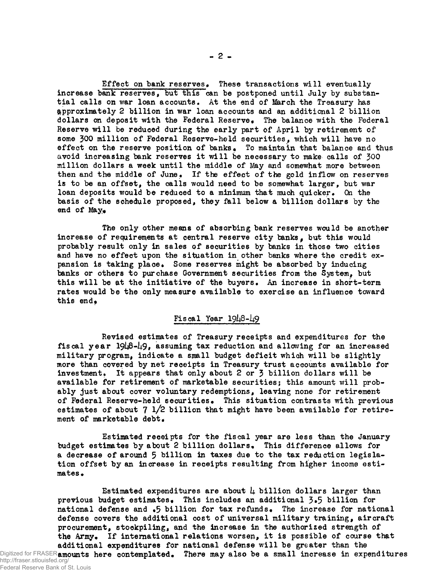**Effect on bank reserves» These transactions will eventually increase bank reserves, but this can be postponed until July by substantial calls on war loan accounts, At the end of March the Treasury has approximately 2 billion in war loan accounts and an additional 2 billion** dollars on deposit with the Federal Reserve. The balance with the Federal **Reserve will be reduced during the early part of April by retirement of some 300 million of Federal Reserve-held securities, which will have no** effect on the reserve position of banks. To maintain that balance and thus **avoid increasing bank reserves it will be necessary to make calls of 300 million dollars a week until the middle of May and somewhat more between then and the middle of June\* If the effect of the gold inflow on reserves** is to be an offset, the calls would need to be somewhat larger, but war loan deposits would be reduced to a minimum that much quicker. On the **basis of the schedule proposed, they fall below a billion dollars by the end of May.** 

**The only other means of absorbing bank reserves would be another** increase of requirements at central reserve city banks, but this would **probably result only in sales of securities by banks in those two cities and have no effect upon the situation in other banks where the credit ex**pansion is taking place. Some reserves might be absorbed by inducing **banks or others to purchase Government securities from the System, but this will be at the initiative of the buyers. An increase in short-term rates would be the only measure available to exercise an influence toward** this end,

## **Fiscal Year**

**Revised estimates of Treasury receipts and expenditures for the** fiscal year 1948-49, assuming tax reduction and allowing for an increased **military program, indicate a small budget deficit which will be slightly more than covered by net receipts in Treasury trust accounts available for** investment. It appears that only about 2 or 3 billion dollars will be **available for retirement of marketable securities; this amount will probably just about cover voluntary redemptions, leaving none for retirement of Federal Reserve-held securities\* This situation contrasts with previous estimates of about 7 l/2 billion that might have been available for retire** $ment$  of marketable debt.

**Estimated receipts for the fiscal year are less than the January** budget estimates by about 2 billion dollars. This difference allows for **a decrease of around 5 billion in taxes due to the tax reduction legislation offset by an increase in receipts resulting from higher income esti**mates.

**Estimated expenditures are about l± billion dollars larger than previous budget estimates\* This includes an additional 3\*5 billion for national defense and \*5 billion for tax refunds\* The increase for national defense covers the additional cost of universal military training, aircraft procurement, stockpiling, and the increase in the authorized strength of** the Army. If international relations worsen, it is possible of course that **additional expenditures for national defense will be greater than the** Digitized for FRASER**amounts here contemplated. There may also be a small increase in expenditures**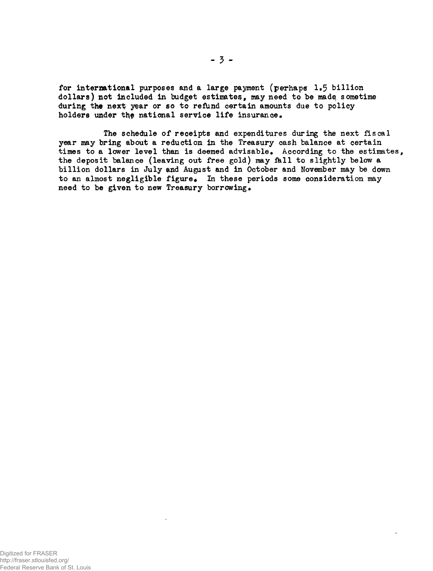for international purposes and a large payment (perhaps 1»5 billion dollars) **not** included in budget estimates, may need to be made, sometime during the next year or so to refund certain amounts due to policy holders under the national service life insurance.

The schedule of receipts and expenditures during the next fiscal year may bring about a reduction in the Treasury cash balance at certain times to a lower level than is deemed advisable. According to the estimates, the deposit balance (leaving out free gold) may fell to slightly below a billion dollars in July and August and in October and November may be down to an almost negligible figure. In these periods some consideration may need to be given to new Treasury borrowing.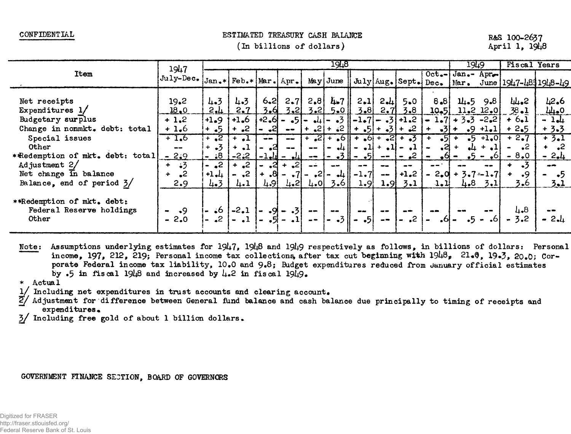CONFIDENTIAL

#### ESTIMATED TREASURY CASH BALANCE

#### (In billions of dollars)

#### R&S 100-2637 April 1, 1948

|                                 | 1947<br>$\mathbf{d} \cdot \mathbf{d} \cdot \mathbf{d} \cdot \mathbf{d} \cdot \mathbf{d} \cdot \mathbf{d} \cdot \mathbf{d} \cdot \mathbf{d} \cdot \mathbf{d} \cdot \mathbf{d} \cdot \mathbf{d} \cdot \mathbf{d} \cdot \mathbf{d} \cdot \mathbf{d} \cdot \mathbf{d} \cdot \mathbf{d} \cdot \mathbf{d} \cdot \mathbf{d} \cdot \mathbf{d} \cdot \mathbf{d} \cdot \mathbf{d} \cdot \mathbf{d} \cdot \mathbf{d} \cdot \mathbf{d} \cdot \mathbf{d} \cdot \mathbf{d} \cdot \mathbf{d} \cdot \mathbf{$ | 1948           |                                           |                                                                                                                                                                                                                                                                                                                                                                 |                       |                                                                                                                                                                                                                                                                                                                                                                                              |                                                                                                                            |       |                     |                                           |                     | 1949                                                                          |                              | <b>Fiscal Years</b>                                           |                                                                                                                                                                                                                                                                                                                                                                 |
|---------------------------------|-----------------------------------------------------------------------------------------------------------------------------------------------------------------------------------------------------------------------------------------------------------------------------------------------------------------------------------------------------------------------------------------------------------------------------------------------------------------------------------------------|----------------|-------------------------------------------|-----------------------------------------------------------------------------------------------------------------------------------------------------------------------------------------------------------------------------------------------------------------------------------------------------------------------------------------------------------------|-----------------------|----------------------------------------------------------------------------------------------------------------------------------------------------------------------------------------------------------------------------------------------------------------------------------------------------------------------------------------------------------------------------------------------|----------------------------------------------------------------------------------------------------------------------------|-------|---------------------|-------------------------------------------|---------------------|-------------------------------------------------------------------------------|------------------------------|---------------------------------------------------------------|-----------------------------------------------------------------------------------------------------------------------------------------------------------------------------------------------------------------------------------------------------------------------------------------------------------------------------------------------------------------|
| Item                            |                                                                                                                                                                                                                                                                                                                                                                                                                                                                                               |                |                                           |                                                                                                                                                                                                                                                                                                                                                                 |                       |                                                                                                                                                                                                                                                                                                                                                                                              |                                                                                                                            |       |                     |                                           |                     | $Oct_{-}$ Jan.- Apr.                                                          |                              |                                                               |                                                                                                                                                                                                                                                                                                                                                                 |
|                                 |                                                                                                                                                                                                                                                                                                                                                                                                                                                                                               |                |                                           |                                                                                                                                                                                                                                                                                                                                                                 |                       |                                                                                                                                                                                                                                                                                                                                                                                              |                                                                                                                            |       |                     |                                           |                     |                                                                               |                              | May June   July   Aug. Sept. Dec. Mar. June   1947-4831948-49 |                                                                                                                                                                                                                                                                                                                                                                 |
|                                 |                                                                                                                                                                                                                                                                                                                                                                                                                                                                                               |                |                                           |                                                                                                                                                                                                                                                                                                                                                                 |                       |                                                                                                                                                                                                                                                                                                                                                                                              |                                                                                                                            |       |                     |                                           |                     |                                                                               |                              |                                                               |                                                                                                                                                                                                                                                                                                                                                                 |
| Net receipts                    | 19.2                                                                                                                                                                                                                                                                                                                                                                                                                                                                                          | 4.3            | 4.3                                       | $6 - 2$                                                                                                                                                                                                                                                                                                                                                         | 2.7                   |                                                                                                                                                                                                                                                                                                                                                                                              | $2.8$ $4.7$                                                                                                                | 2.1   | $2 - 4$             | $5 - 0$                                   | 8.8                 | $14-5$ 9.8                                                                    |                              | 44.2                                                          | 42.6                                                                                                                                                                                                                                                                                                                                                            |
| Expenditures $1/$               | 18.0                                                                                                                                                                                                                                                                                                                                                                                                                                                                                          | 2.4            | 2.7                                       |                                                                                                                                                                                                                                                                                                                                                                 |                       |                                                                                                                                                                                                                                                                                                                                                                                              |                                                                                                                            |       |                     | $3.6$ $3.2$ $3.2$ $5.0$ $3.8$ $2.7$ $3.8$ |                     | $10,5$ $11.2$ $12.0$                                                          |                              | $38 - 1$                                                      | 44.0                                                                                                                                                                                                                                                                                                                                                            |
| Budgetary surplus               | $+1.2$                                                                                                                                                                                                                                                                                                                                                                                                                                                                                        | $+1.9$ $+1$    |                                           |                                                                                                                                                                                                                                                                                                                                                                 |                       |                                                                                                                                                                                                                                                                                                                                                                                              |                                                                                                                            |       |                     |                                           |                     | $ +1.6 +2.6 $ - $.5 $ - $.4 $ - $.5 $ - $1.7 $ - $.3 +1.2 $ - $1.7 +3.3$ -2.2 |                              | $+6.1$                                                        | $-1.4$                                                                                                                                                                                                                                                                                                                                                          |
| Change in nonmkt. debt: total   | $+1,6$                                                                                                                                                                                                                                                                                                                                                                                                                                                                                        | $+ 5$          | $+$ -2 $+$                                | $-$ -21                                                                                                                                                                                                                                                                                                                                                         | $\bullet$ $\bullet$ . |                                                                                                                                                                                                                                                                                                                                                                                              |                                                                                                                            |       |                     | $+$ $2$ + $2$ $+$ $5$ + $3$ + $2$ +       | $-31+$<br>$+$       |                                                                               | $-9 + 1 - 1$                 | $+2.5$                                                        | $+3.3$                                                                                                                                                                                                                                                                                                                                                          |
| Special issues                  | $+1.6$                                                                                                                                                                                                                                                                                                                                                                                                                                                                                        | $\sqrt{1 + 2}$ | $+$ $\mathbf{1}$                          | $\frac{1}{2} \sum_{i=1}^{n} \frac{1}{2} \sum_{i=1}^{n} \frac{1}{2} \sum_{i=1}^{n} \frac{1}{2} \sum_{i=1}^{n} \frac{1}{2} \sum_{i=1}^{n} \frac{1}{2} \sum_{i=1}^{n} \frac{1}{2} \sum_{i=1}^{n} \frac{1}{2} \sum_{i=1}^{n} \frac{1}{2} \sum_{i=1}^{n} \frac{1}{2} \sum_{i=1}^{n} \frac{1}{2} \sum_{i=1}^{n} \frac{1}{2} \sum_{i=1}^{n} \frac{1}{2} \sum_{i=1}^{n$ | $-$                   |                                                                                                                                                                                                                                                                                                                                                                                              |                                                                                                                            |       |                     | $+$ $2$ + $6$ + $-6$ + $-2$ + $-3$ +      |                     | $-5$ +                                                                        | $-5 + 1 - 0$                 | $+2.7$                                                        | $+3.1$                                                                                                                                                                                                                                                                                                                                                          |
| 0ther                           | $\qquad \qquad \blacksquare$                                                                                                                                                                                                                                                                                                                                                                                                                                                                  | $+ 3$          | $+$ , $1$                                 | .а                                                                                                                                                                                                                                                                                                                                                              | $\sim$ $\sim$         | $\frac{1}{2} \frac{1}{2} \frac{1}{2} \frac{1}{2} \frac{1}{2} \frac{1}{2} \frac{1}{2} \frac{1}{2} \frac{1}{2} \frac{1}{2} \frac{1}{2} \frac{1}{2} \frac{1}{2} \frac{1}{2} \frac{1}{2} \frac{1}{2} \frac{1}{2} \frac{1}{2} \frac{1}{2} \frac{1}{2} \frac{1}{2} \frac{1}{2} \frac{1}{2} \frac{1}{2} \frac{1}{2} \frac{1}{2} \frac{1}{2} \frac{1}{2} \frac{1}{2} \frac{1}{2} \frac{1}{2} \frac{$ |                                                                                                                            |       |                     | $ - 44   - 41  + 41  - 41 $               | $\bullet$           | $-2$                                                                          | $+4 + .1$                    | - 2<br>$\blacksquare$                                         | $\ddot{\bullet}$ +                                                                                                                                                                                                                                                                                                                                              |
| *Redemption of mkt. debt: total | $-2.9$                                                                                                                                                                                                                                                                                                                                                                                                                                                                                        | 8. -           | $ -2:2 $                                  | $-1 - 1$                                                                                                                                                                                                                                                                                                                                                        |                       |                                                                                                                                                                                                                                                                                                                                                                                              |                                                                                                                            |       |                     | $ -2$ , $ -2 $                            | $-6$ –<br>$\bullet$ |                                                                               | $-5 - 0$ i                   | $-8.0$                                                        | $-2.4$                                                                                                                                                                                                                                                                                                                                                          |
| Adjustment 2/                   | $+ 3$                                                                                                                                                                                                                                                                                                                                                                                                                                                                                         | $-2$           | $+$ $\sqrt{2}$ $ \sqrt{2}$ $+$ $\sqrt{2}$ |                                                                                                                                                                                                                                                                                                                                                                 |                       | $\frac{1}{2}$                                                                                                                                                                                                                                                                                                                                                                                | $\frac{1}{2}$                                                                                                              | $- -$ | $-\bullet$          | $\frac{1}{2}$                             | $- -$               |                                                                               | $\qquad \qquad \blacksquare$ | $+ 3$                                                         | $\frac{1}{2} \sum_{i=1}^{n} \frac{1}{2} \sum_{j=1}^{n} \frac{1}{2} \sum_{j=1}^{n} \frac{1}{2} \sum_{j=1}^{n} \frac{1}{2} \sum_{j=1}^{n} \frac{1}{2} \sum_{j=1}^{n} \frac{1}{2} \sum_{j=1}^{n} \frac{1}{2} \sum_{j=1}^{n} \frac{1}{2} \sum_{j=1}^{n} \frac{1}{2} \sum_{j=1}^{n} \frac{1}{2} \sum_{j=1}^{n} \frac{1}{2} \sum_{j=1}^{n} \frac{1}{2} \sum_{j=1}^{n$ |
| Net change in balance           | $\cdot^2$<br>$+$                                                                                                                                                                                                                                                                                                                                                                                                                                                                              | $+1.1$         |                                           | $+$ $\,8$                                                                                                                                                                                                                                                                                                                                                       |                       |                                                                                                                                                                                                                                                                                                                                                                                              | $\left  \cdot \right $ - $\left  \cdot \right $ - $\left  \cdot \right $ - $\left  \cdot \right $ - $\left  \cdot \right $ |       | $\bullet$ $\bullet$ | $ +1.2 $                                  |                     | $-2.0 + 3.7 - 1.7$                                                            |                              | $\cdot$ 9<br>$+$                                              | - •5                                                                                                                                                                                                                                                                                                                                                            |
| Balance, end of period $3/$     | 2.9                                                                                                                                                                                                                                                                                                                                                                                                                                                                                           | 4.3            | 4.1                                       | 4.91                                                                                                                                                                                                                                                                                                                                                            | $4-2$                 |                                                                                                                                                                                                                                                                                                                                                                                              | $4.0$ 3.6                                                                                                                  | 1.9   |                     | $1.9 \mid 3.1 \mid$                       | 1.1                 | 4.8                                                                           | 3.1                          | $3 - 6$                                                       | $3 - 1$                                                                                                                                                                                                                                                                                                                                                         |
| **Redemption of mkt. debt:      |                                                                                                                                                                                                                                                                                                                                                                                                                                                                                               |                |                                           |                                                                                                                                                                                                                                                                                                                                                                 |                       |                                                                                                                                                                                                                                                                                                                                                                                              |                                                                                                                            |       |                     |                                           |                     |                                                                               |                              |                                                               |                                                                                                                                                                                                                                                                                                                                                                 |
| Federal Reserve holdings        | $\ddot{9}$                                                                                                                                                                                                                                                                                                                                                                                                                                                                                    | $-16$          | $\left  -2.1 \right $                     | $-9$<br>$\blacksquare$                                                                                                                                                                                                                                                                                                                                          |                       |                                                                                                                                                                                                                                                                                                                                                                                              |                                                                                                                            |       |                     |                                           |                     |                                                                               |                              | 4.8                                                           |                                                                                                                                                                                                                                                                                                                                                                 |
| Other                           | $-2.0$                                                                                                                                                                                                                                                                                                                                                                                                                                                                                        |                |                                           |                                                                                                                                                                                                                                                                                                                                                                 |                       |                                                                                                                                                                                                                                                                                                                                                                                              |                                                                                                                            | $ -5$ | $\rightarrow$       | $S_{\bullet}$ –                           | -61                 |                                                                               | $-5 - -61$                   |                                                               | $-2.4$                                                                                                                                                                                                                                                                                                                                                          |
|                                 |                                                                                                                                                                                                                                                                                                                                                                                                                                                                                               |                |                                           |                                                                                                                                                                                                                                                                                                                                                                 |                       |                                                                                                                                                                                                                                                                                                                                                                                              |                                                                                                                            |       |                     |                                           |                     |                                                                               |                              |                                                               |                                                                                                                                                                                                                                                                                                                                                                 |

Note: Assumptions underlying estimates for 1947, 1948 and 1949 respectively as follows, in billions of dollars: Personal income, 197, 212, 219; Personal income tax collections after tax cut beginning with 1948, 21.0, 19.3. 20.0: Corporate Federal income tax liability, 10.0 and 9.8; Budget expenditures reduced from January official estimates by .5 in fiscal  $19\mu8$  and increased by  $\mu$ .2 in fiscal  $19\mu9$ .

\* Actual

Including net expenditures in trust accounts and clearing account.

Adjustment for difference between General fund balance and cash balance due principally to timing of receipts and expenditures.

3/ Including free gold of about 1 billion dollars.

GOVERNMENT FINANCE SECTION, BOARD OF GOVERNORS